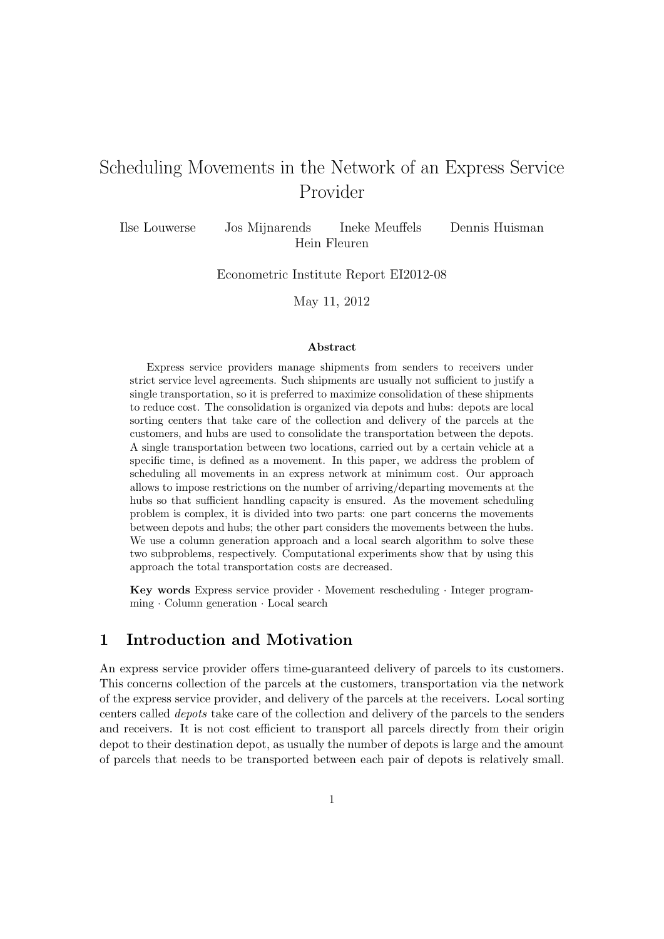# Scheduling Movements in the Network of an Express Service Provider

Ilse Louwerse Jos Mijnarends Ineke Meuffels Dennis Huisman Hein Fleuren

Econometric Institute Report EI2012-08

May 11, 2012

#### Abstract

Express service providers manage shipments from senders to receivers under strict service level agreements. Such shipments are usually not sufficient to justify a single transportation, so it is preferred to maximize consolidation of these shipments to reduce cost. The consolidation is organized via depots and hubs: depots are local sorting centers that take care of the collection and delivery of the parcels at the customers, and hubs are used to consolidate the transportation between the depots. A single transportation between two locations, carried out by a certain vehicle at a specific time, is defined as a movement. In this paper, we address the problem of scheduling all movements in an express network at minimum cost. Our approach allows to impose restrictions on the number of arriving/departing movements at the hubs so that sufficient handling capacity is ensured. As the movement scheduling problem is complex, it is divided into two parts: one part concerns the movements between depots and hubs; the other part considers the movements between the hubs. We use a column generation approach and a local search algorithm to solve these two subproblems, respectively. Computational experiments show that by using this approach the total transportation costs are decreased.

Key words Express service provider · Movement rescheduling · Integer programming · Column generation · Local search

# 1 Introduction and Motivation

An express service provider offers time-guaranteed delivery of parcels to its customers. This concerns collection of the parcels at the customers, transportation via the network of the express service provider, and delivery of the parcels at the receivers. Local sorting centers called depots take care of the collection and delivery of the parcels to the senders and receivers. It is not cost efficient to transport all parcels directly from their origin depot to their destination depot, as usually the number of depots is large and the amount of parcels that needs to be transported between each pair of depots is relatively small.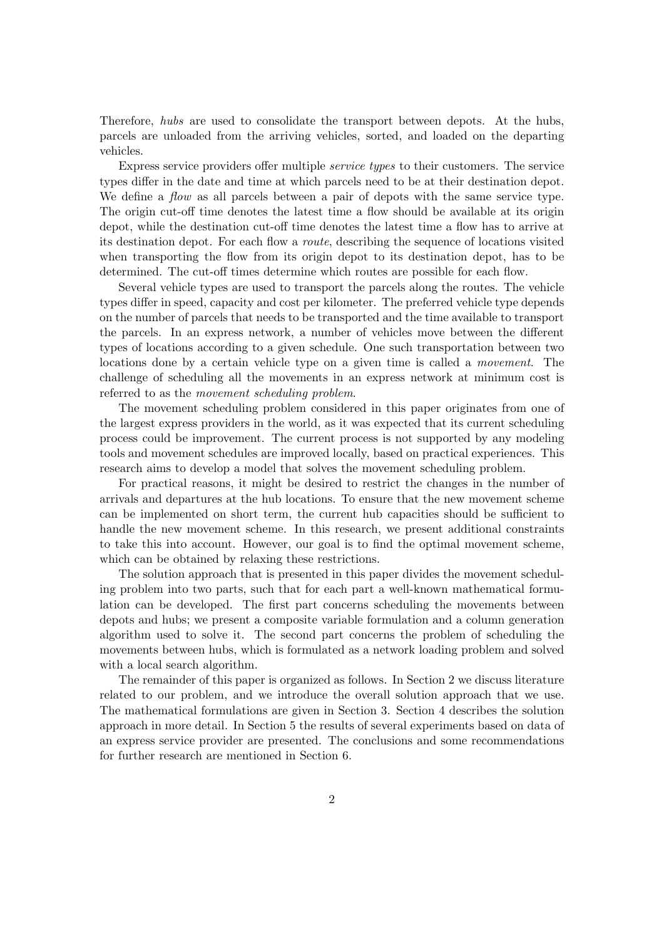Therefore, hubs are used to consolidate the transport between depots. At the hubs, parcels are unloaded from the arriving vehicles, sorted, and loaded on the departing vehicles.

Express service providers offer multiple service types to their customers. The service types differ in the date and time at which parcels need to be at their destination depot. We define a *flow* as all parcels between a pair of depots with the same service type. The origin cut-off time denotes the latest time a flow should be available at its origin depot, while the destination cut-off time denotes the latest time a flow has to arrive at its destination depot. For each flow a route, describing the sequence of locations visited when transporting the flow from its origin depot to its destination depot, has to be determined. The cut-off times determine which routes are possible for each flow.

Several vehicle types are used to transport the parcels along the routes. The vehicle types differ in speed, capacity and cost per kilometer. The preferred vehicle type depends on the number of parcels that needs to be transported and the time available to transport the parcels. In an express network, a number of vehicles move between the different types of locations according to a given schedule. One such transportation between two locations done by a certain vehicle type on a given time is called a movement. The challenge of scheduling all the movements in an express network at minimum cost is referred to as the movement scheduling problem.

The movement scheduling problem considered in this paper originates from one of the largest express providers in the world, as it was expected that its current scheduling process could be improvement. The current process is not supported by any modeling tools and movement schedules are improved locally, based on practical experiences. This research aims to develop a model that solves the movement scheduling problem.

For practical reasons, it might be desired to restrict the changes in the number of arrivals and departures at the hub locations. To ensure that the new movement scheme can be implemented on short term, the current hub capacities should be sufficient to handle the new movement scheme. In this research, we present additional constraints to take this into account. However, our goal is to find the optimal movement scheme, which can be obtained by relaxing these restrictions.

The solution approach that is presented in this paper divides the movement scheduling problem into two parts, such that for each part a well-known mathematical formulation can be developed. The first part concerns scheduling the movements between depots and hubs; we present a composite variable formulation and a column generation algorithm used to solve it. The second part concerns the problem of scheduling the movements between hubs, which is formulated as a network loading problem and solved with a local search algorithm.

The remainder of this paper is organized as follows. In Section 2 we discuss literature related to our problem, and we introduce the overall solution approach that we use. The mathematical formulations are given in Section 3. Section 4 describes the solution approach in more detail. In Section 5 the results of several experiments based on data of an express service provider are presented. The conclusions and some recommendations for further research are mentioned in Section 6.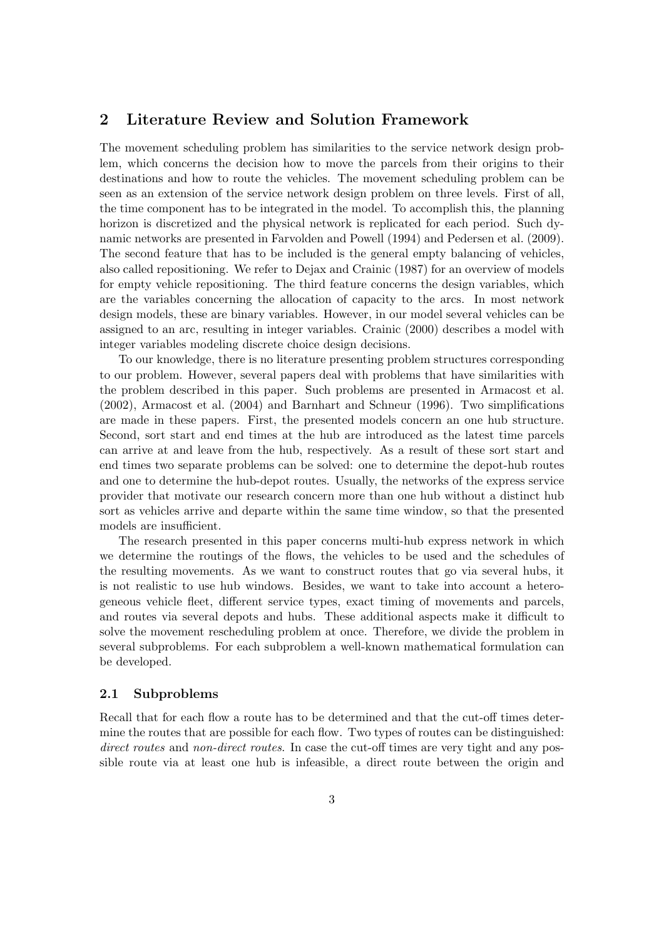## 2 Literature Review and Solution Framework

The movement scheduling problem has similarities to the service network design problem, which concerns the decision how to move the parcels from their origins to their destinations and how to route the vehicles. The movement scheduling problem can be seen as an extension of the service network design problem on three levels. First of all, the time component has to be integrated in the model. To accomplish this, the planning horizon is discretized and the physical network is replicated for each period. Such dynamic networks are presented in Farvolden and Powell (1994) and Pedersen et al. (2009). The second feature that has to be included is the general empty balancing of vehicles, also called repositioning. We refer to Dejax and Crainic (1987) for an overview of models for empty vehicle repositioning. The third feature concerns the design variables, which are the variables concerning the allocation of capacity to the arcs. In most network design models, these are binary variables. However, in our model several vehicles can be assigned to an arc, resulting in integer variables. Crainic (2000) describes a model with integer variables modeling discrete choice design decisions.

To our knowledge, there is no literature presenting problem structures corresponding to our problem. However, several papers deal with problems that have similarities with the problem described in this paper. Such problems are presented in Armacost et al. (2002), Armacost et al. (2004) and Barnhart and Schneur (1996). Two simplifications are made in these papers. First, the presented models concern an one hub structure. Second, sort start and end times at the hub are introduced as the latest time parcels can arrive at and leave from the hub, respectively. As a result of these sort start and end times two separate problems can be solved: one to determine the depot-hub routes and one to determine the hub-depot routes. Usually, the networks of the express service provider that motivate our research concern more than one hub without a distinct hub sort as vehicles arrive and departe within the same time window, so that the presented models are insufficient.

The research presented in this paper concerns multi-hub express network in which we determine the routings of the flows, the vehicles to be used and the schedules of the resulting movements. As we want to construct routes that go via several hubs, it is not realistic to use hub windows. Besides, we want to take into account a heterogeneous vehicle fleet, different service types, exact timing of movements and parcels, and routes via several depots and hubs. These additional aspects make it difficult to solve the movement rescheduling problem at once. Therefore, we divide the problem in several subproblems. For each subproblem a well-known mathematical formulation can be developed.

#### 2.1 Subproblems

Recall that for each flow a route has to be determined and that the cut-off times determine the routes that are possible for each flow. Two types of routes can be distinguished: direct routes and non-direct routes. In case the cut-off times are very tight and any possible route via at least one hub is infeasible, a direct route between the origin and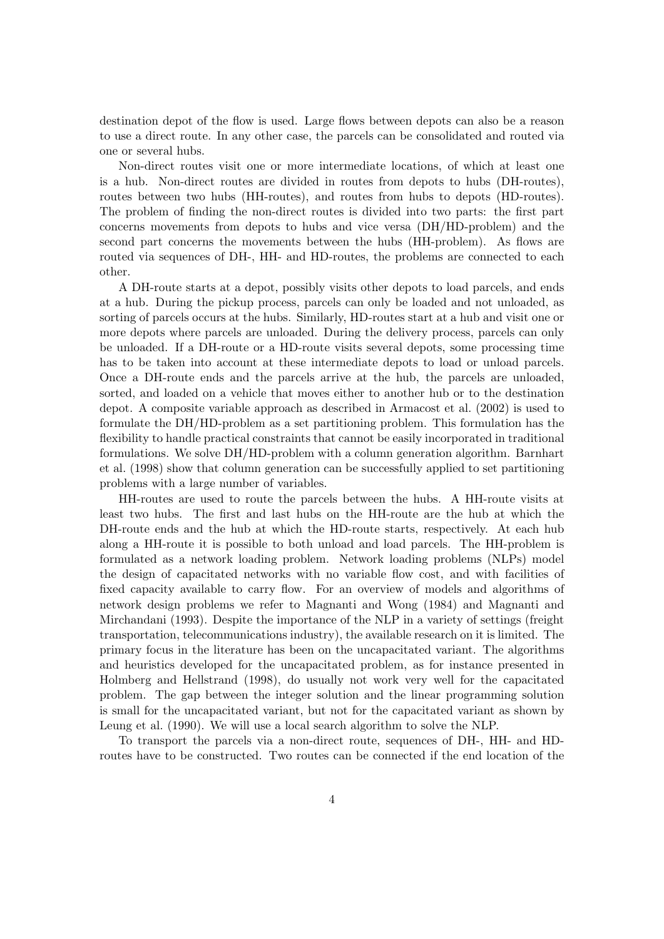destination depot of the flow is used. Large flows between depots can also be a reason to use a direct route. In any other case, the parcels can be consolidated and routed via one or several hubs.

Non-direct routes visit one or more intermediate locations, of which at least one is a hub. Non-direct routes are divided in routes from depots to hubs (DH-routes), routes between two hubs (HH-routes), and routes from hubs to depots (HD-routes). The problem of finding the non-direct routes is divided into two parts: the first part concerns movements from depots to hubs and vice versa (DH/HD-problem) and the second part concerns the movements between the hubs (HH-problem). As flows are routed via sequences of DH-, HH- and HD-routes, the problems are connected to each other.

A DH-route starts at a depot, possibly visits other depots to load parcels, and ends at a hub. During the pickup process, parcels can only be loaded and not unloaded, as sorting of parcels occurs at the hubs. Similarly, HD-routes start at a hub and visit one or more depots where parcels are unloaded. During the delivery process, parcels can only be unloaded. If a DH-route or a HD-route visits several depots, some processing time has to be taken into account at these intermediate depots to load or unload parcels. Once a DH-route ends and the parcels arrive at the hub, the parcels are unloaded, sorted, and loaded on a vehicle that moves either to another hub or to the destination depot. A composite variable approach as described in Armacost et al. (2002) is used to formulate the DH/HD-problem as a set partitioning problem. This formulation has the flexibility to handle practical constraints that cannot be easily incorporated in traditional formulations. We solve DH/HD-problem with a column generation algorithm. Barnhart et al. (1998) show that column generation can be successfully applied to set partitioning problems with a large number of variables.

HH-routes are used to route the parcels between the hubs. A HH-route visits at least two hubs. The first and last hubs on the HH-route are the hub at which the DH-route ends and the hub at which the HD-route starts, respectively. At each hub along a HH-route it is possible to both unload and load parcels. The HH-problem is formulated as a network loading problem. Network loading problems (NLPs) model the design of capacitated networks with no variable flow cost, and with facilities of fixed capacity available to carry flow. For an overview of models and algorithms of network design problems we refer to Magnanti and Wong (1984) and Magnanti and Mirchandani (1993). Despite the importance of the NLP in a variety of settings (freight transportation, telecommunications industry), the available research on it is limited. The primary focus in the literature has been on the uncapacitated variant. The algorithms and heuristics developed for the uncapacitated problem, as for instance presented in Holmberg and Hellstrand (1998), do usually not work very well for the capacitated problem. The gap between the integer solution and the linear programming solution is small for the uncapacitated variant, but not for the capacitated variant as shown by Leung et al. (1990). We will use a local search algorithm to solve the NLP.

To transport the parcels via a non-direct route, sequences of DH-, HH- and HDroutes have to be constructed. Two routes can be connected if the end location of the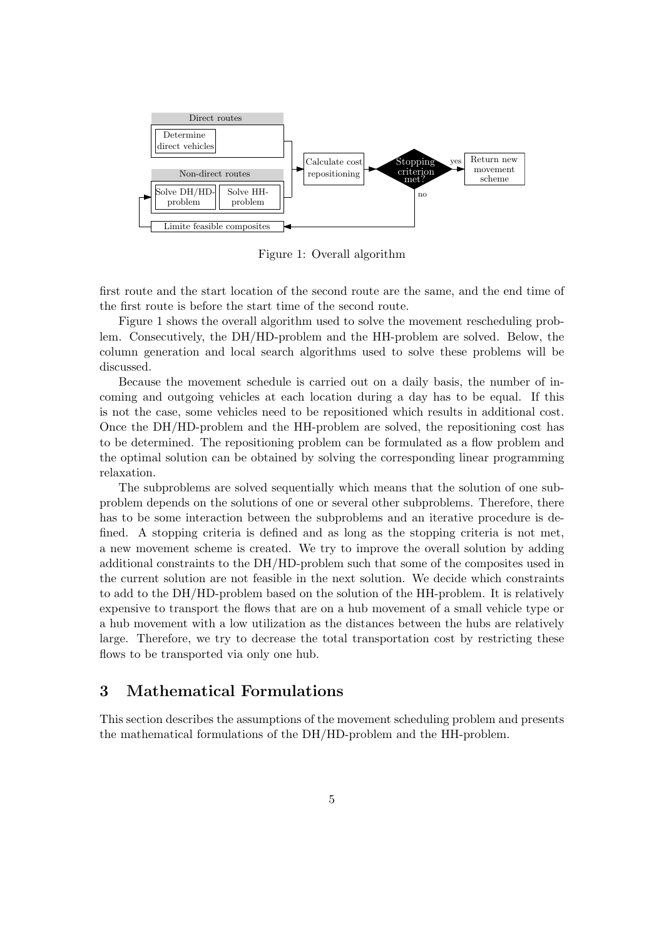

Figure 1: Overall algorithm

first route and the start location of the second route are the same, and the end time of the first route is before the start time of the second route.

Figure 1 shows the overall algorithm used to solve the movement rescheduling problem. Consecutively, the DH/HD-problem and the HH-problem are solved. Below, the column generation and local search algorithms used to solve these problems will be discussed.

Because the movement schedule is carried out on a daily basis, the number of incoming and outgoing vehicles at each location during a day has to be equal. If this is not the case, some vehicles need to be repositioned which results in additional cost. Once the DH/HD-problem and the HH-problem are solved, the repositioning cost has to be determined. The repositioning problem can be formulated as a flow problem and the optimal solution can be obtained by solving the corresponding linear programming relaxation.

The subproblems are solved sequentially which means that the solution of one subproblem depends on the solutions of one or several other subproblems. Therefore, there has to be some interaction between the subproblems and an iterative procedure is defined. A stopping criteria is defined and as long as the stopping criteria is not met, a new movement scheme is created. We try to improve the overall solution by adding additional constraints to the DH/HD-problem such that some of the composites used in the current solution are not feasible in the next solution. We decide which constraints to add to the DH/HD-problem based on the solution of the HH-problem. It is relatively expensive to transport the flows that are on a hub movement of a small vehicle type or a hub movement with a low utilization as the distances between the hubs are relatively large. Therefore, we try to decrease the total transportation cost by restricting these flows to be transported via only one hub.

# 3 Mathematical Formulations

This section describes the assumptions of the movement scheduling problem and presents the mathematical formulations of the DH/HD-problem and the HH-problem.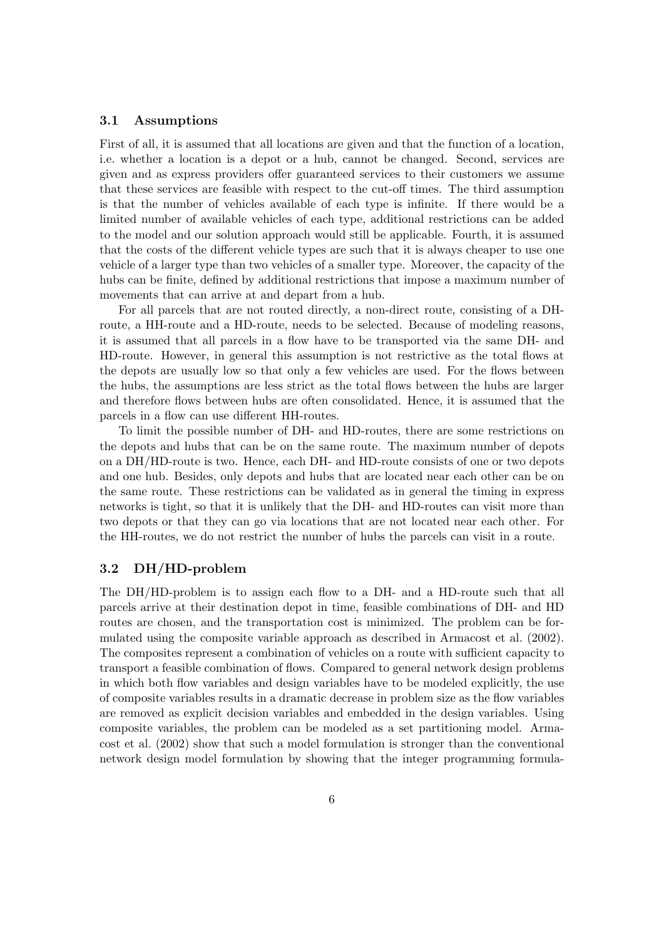#### 3.1 Assumptions

First of all, it is assumed that all locations are given and that the function of a location, i.e. whether a location is a depot or a hub, cannot be changed. Second, services are given and as express providers offer guaranteed services to their customers we assume that these services are feasible with respect to the cut-off times. The third assumption is that the number of vehicles available of each type is infinite. If there would be a limited number of available vehicles of each type, additional restrictions can be added to the model and our solution approach would still be applicable. Fourth, it is assumed that the costs of the different vehicle types are such that it is always cheaper to use one vehicle of a larger type than two vehicles of a smaller type. Moreover, the capacity of the hubs can be finite, defined by additional restrictions that impose a maximum number of movements that can arrive at and depart from a hub.

For all parcels that are not routed directly, a non-direct route, consisting of a DHroute, a HH-route and a HD-route, needs to be selected. Because of modeling reasons, it is assumed that all parcels in a flow have to be transported via the same DH- and HD-route. However, in general this assumption is not restrictive as the total flows at the depots are usually low so that only a few vehicles are used. For the flows between the hubs, the assumptions are less strict as the total flows between the hubs are larger and therefore flows between hubs are often consolidated. Hence, it is assumed that the parcels in a flow can use different HH-routes.

To limit the possible number of DH- and HD-routes, there are some restrictions on the depots and hubs that can be on the same route. The maximum number of depots on a DH/HD-route is two. Hence, each DH- and HD-route consists of one or two depots and one hub. Besides, only depots and hubs that are located near each other can be on the same route. These restrictions can be validated as in general the timing in express networks is tight, so that it is unlikely that the DH- and HD-routes can visit more than two depots or that they can go via locations that are not located near each other. For the HH-routes, we do not restrict the number of hubs the parcels can visit in a route.

#### 3.2 DH/HD-problem

The DH/HD-problem is to assign each flow to a DH- and a HD-route such that all parcels arrive at their destination depot in time, feasible combinations of DH- and HD routes are chosen, and the transportation cost is minimized. The problem can be formulated using the composite variable approach as described in Armacost et al. (2002). The composites represent a combination of vehicles on a route with sufficient capacity to transport a feasible combination of flows. Compared to general network design problems in which both flow variables and design variables have to be modeled explicitly, the use of composite variables results in a dramatic decrease in problem size as the flow variables are removed as explicit decision variables and embedded in the design variables. Using composite variables, the problem can be modeled as a set partitioning model. Armacost et al. (2002) show that such a model formulation is stronger than the conventional network design model formulation by showing that the integer programming formula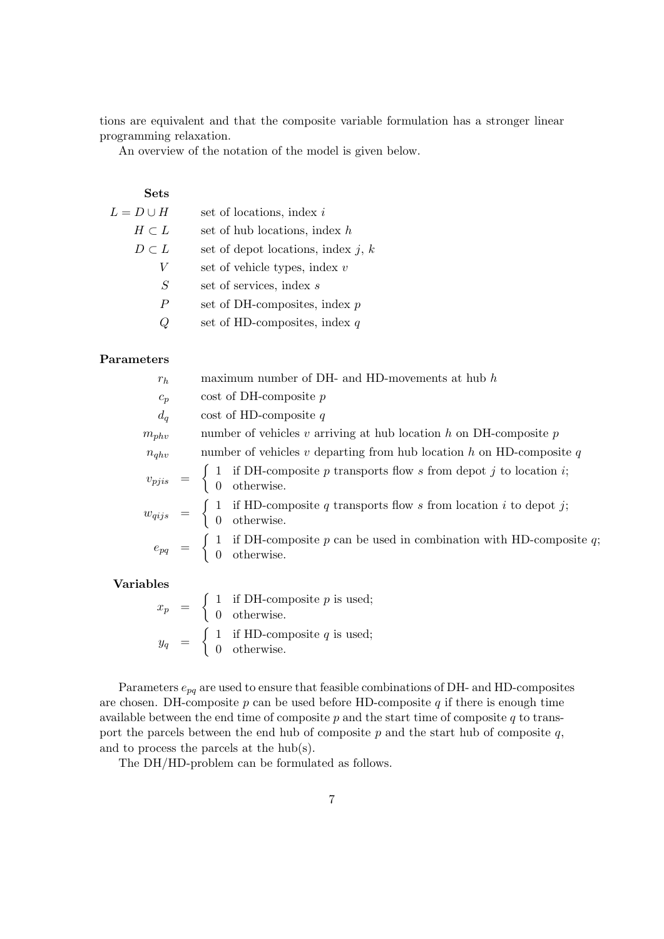tions are equivalent and that the composite variable formulation has a stronger linear programming relaxation.

An overview of the notation of the model is given below.

#### Sets

| $L = D \cup H$ | set of locations, index i          |
|----------------|------------------------------------|
| $H\subset L$   | set of hub locations, index $h$    |
| $D \subset L$  | set of depot locations, index j, k |
|                | set of vehicle types, index $v$    |
| $\overline{S}$ | set of services, index s           |
| P              | set of DH-composites, index $p$    |
|                | set of HD-composites, index $q$    |

#### Parameters

| $r_h$     | maximum number of DH- and HD-movements at hub $h$                                                                                                                           |  |  |  |  |  |  |
|-----------|-----------------------------------------------------------------------------------------------------------------------------------------------------------------------------|--|--|--|--|--|--|
| $c_p$     | $\cos t$ of DH-composite p                                                                                                                                                  |  |  |  |  |  |  |
| $d_q$     | cost of HD-composite $q$                                                                                                                                                    |  |  |  |  |  |  |
| $m_{phv}$ | number of vehicles $v$ arriving at hub location $h$ on DH-composite $p$                                                                                                     |  |  |  |  |  |  |
| $n_{qhv}$ | number of vehicles $v$ departing from hub location $h$ on HD-composite $q$                                                                                                  |  |  |  |  |  |  |
|           | $v_{pjis}$ = $\begin{cases} 1 & \text{if DH-composite } p \text{ transports flow } s \text{ from depot } j \text{ to location } i; \\ 0 & \text{otherwise.} \end{cases}$    |  |  |  |  |  |  |
|           | $w_{q i j s}$ = $\begin{cases} 1 & \text{if HD-composite } q \text{ transports flow } s \text{ from location } i \text{ to depot } j; \\ 0 & \text{otherwise.} \end{cases}$ |  |  |  |  |  |  |
|           | $e_{pq} = \begin{cases} 1 & \text{if DH-composite } p \text{ can be used in combination with HD-composite } q; \\ 0 & \text{otherwise.} \end{cases}$                        |  |  |  |  |  |  |
|           |                                                                                                                                                                             |  |  |  |  |  |  |

#### Variables

| $x_p =$ | $\int 1$ if DH-composite p is used;<br>$\begin{cases} 0 & \text{otherwise.} \end{cases}$                     |
|---------|--------------------------------------------------------------------------------------------------------------|
| $y_q =$ | $\int 1$ if HD-composite q is used;<br>$\left\{ \begin{array}{ll} 0 & \text{otherwise.} \end{array} \right.$ |

Parameters  $e_{pq}$  are used to ensure that feasible combinations of DH- and HD-composites are chosen. DH-composite  $p$  can be used before HD-composite  $q$  if there is enough time available between the end time of composite  $p$  and the start time of composite  $q$  to transport the parcels between the end hub of composite  $p$  and the start hub of composite  $q$ , and to process the parcels at the hub(s).

The DH/HD-problem can be formulated as follows.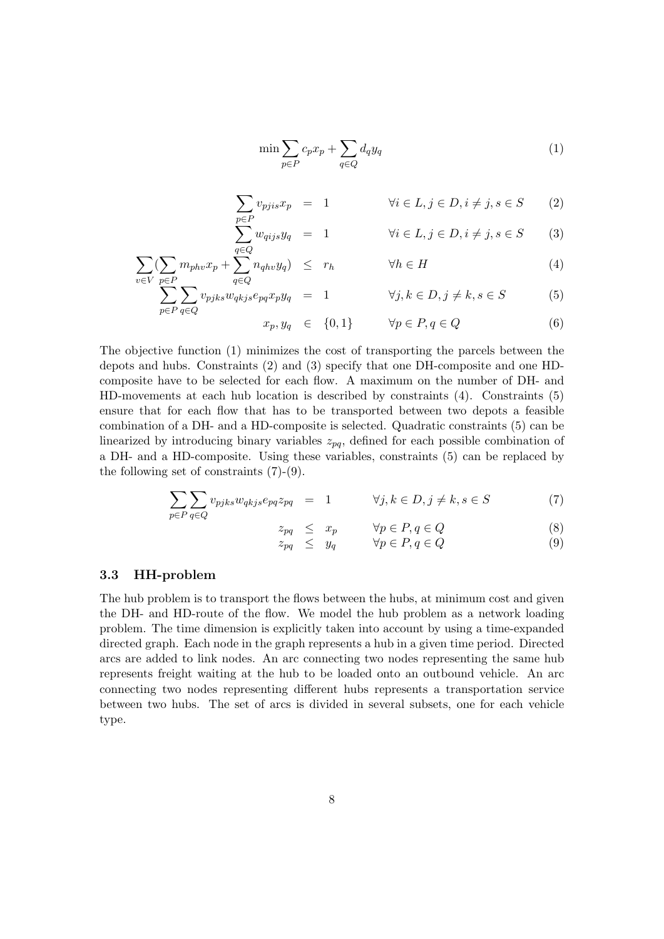$$
\min \sum_{p \in P} c_p x_p + \sum_{q \in Q} d_q y_q \tag{1}
$$

$$
\sum_{p \in P} v_{pi} x_p = 1 \qquad \forall i \in L, j \in D, i \neq j, s \in S \qquad (2)
$$

$$
\sum_{a \in \Omega} w_{q i j s} y_q = 1 \qquad \forall i \in L, j \in D, i \neq j, s \in S \qquad (3)
$$

$$
\sum_{v \in V} \left( \sum_{p \in P} m_{phv} x_p + \sum_{q \in Q}^{q \in Q} n_{qhv} y_q \right) \leq r_h \qquad \forall h \in H \tag{4}
$$

$$
\sum_{p \in P} \sum_{q \in Q} v_{pjks} w_{qkjs} e_{pq} x_p y_q = 1 \qquad \forall j, k \in D, j \neq k, s \in S \qquad (5)
$$

$$
x_p, y_q \in \{0, 1\} \qquad \forall p \in P, q \in Q \tag{6}
$$

The objective function (1) minimizes the cost of transporting the parcels between the depots and hubs. Constraints (2) and (3) specify that one DH-composite and one HDcomposite have to be selected for each flow. A maximum on the number of DH- and HD-movements at each hub location is described by constraints (4). Constraints (5) ensure that for each flow that has to be transported between two depots a feasible combination of a DH- and a HD-composite is selected. Quadratic constraints (5) can be linearized by introducing binary variables  $z_{pq}$ , defined for each possible combination of a DH- and a HD-composite. Using these variables, constraints (5) can be replaced by the following set of constraints (7)-(9).

$$
\sum_{p \in P} \sum_{q \in Q} v_{pjks} w_{qkjs} e_{pq} z_{pq} = 1 \qquad \forall j, k \in D, j \neq k, s \in S \tag{7}
$$

$$
z_{pq} \leq x_p \qquad \forall p \in P, q \in Q \tag{8}
$$

$$
z_{pq} \leq y_q \qquad \forall p \in P, q \in Q \tag{9}
$$

#### 3.3 HH-problem

The hub problem is to transport the flows between the hubs, at minimum cost and given the DH- and HD-route of the flow. We model the hub problem as a network loading problem. The time dimension is explicitly taken into account by using a time-expanded directed graph. Each node in the graph represents a hub in a given time period. Directed arcs are added to link nodes. An arc connecting two nodes representing the same hub represents freight waiting at the hub to be loaded onto an outbound vehicle. An arc connecting two nodes representing different hubs represents a transportation service between two hubs. The set of arcs is divided in several subsets, one for each vehicle type.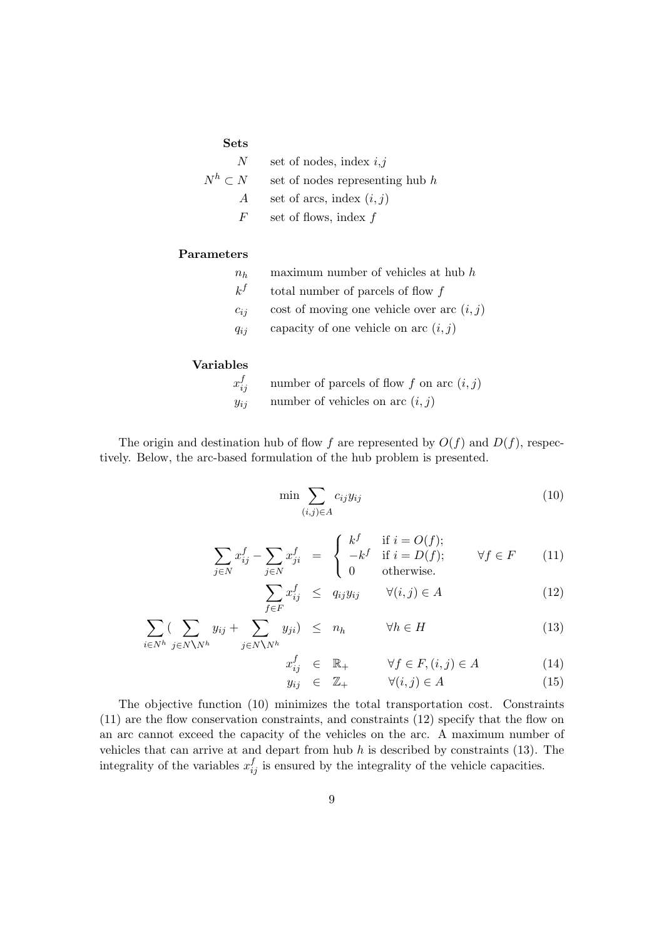#### Sets

| set of nodes, index $i, j$<br>N. |                                   |  |  |  |  |
|----------------------------------|-----------------------------------|--|--|--|--|
| $N^h\subset N$                   | set of nodes representing hub $h$ |  |  |  |  |
| $\overline{A}$                   | set of arcs, index $(i, j)$       |  |  |  |  |
| $F_{-}$                          | set of flows, index $f$           |  |  |  |  |

#### Parameters

| $n_h$    | maximum number of vehicles at hub $h$        |
|----------|----------------------------------------------|
| $k^f$    | total number of parcels of flow f            |
| $c_{ij}$ | cost of moving one vehicle over arc $(i, j)$ |
| $q_{ij}$ | capacity of one vehicle on arc $(i, j)$      |
|          |                                              |

#### Variables

| $x_{ii}^f$ | number of parcels of flow f on arc $(i, j)$ |
|------------|---------------------------------------------|
| $y_{ij}$   | number of vehicles on arc $(i, j)$          |

The origin and destination hub of flow f are represented by  $O(f)$  and  $D(f)$ , respectively. Below, the arc-based formulation of the hub problem is presented.

$$
\min \sum_{(i,j)\in A} c_{ij} y_{ij} \tag{10}
$$

$$
\sum_{j \in N} x_{ij}^f - \sum_{j \in N} x_{ji}^f = \begin{cases} k^f & \text{if } i = O(f); \\ -k^f & \text{if } i = D(f); \\ 0 & \text{otherwise.} \end{cases} \forall f \in F \qquad (11)
$$

$$
\sum_{f \in F} x_{ij}^f \le q_{ij} y_{ij} \qquad \forall (i, j) \in A \tag{12}
$$

$$
\sum_{i \in N^h} \left( \sum_{j \in N \setminus N^h} y_{ij} + \sum_{j \in N \setminus N^h} y_{ji} \right) \le n_h \qquad \forall h \in H \tag{13}
$$

$$
x_{ij}^f \in \mathbb{R}_+ \qquad \forall f \in F, (i,j) \in A \tag{14}
$$

$$
y_{ij} \in \mathbb{Z}_+ \qquad \forall (i,j) \in A \tag{15}
$$

The objective function (10) minimizes the total transportation cost. Constraints (11) are the flow conservation constraints, and constraints (12) specify that the flow on an arc cannot exceed the capacity of the vehicles on the arc. A maximum number of vehicles that can arrive at and depart from hub  $h$  is described by constraints (13). The integrality of the variables  $x_{ij}^f$  is ensured by the integrality of the vehicle capacities.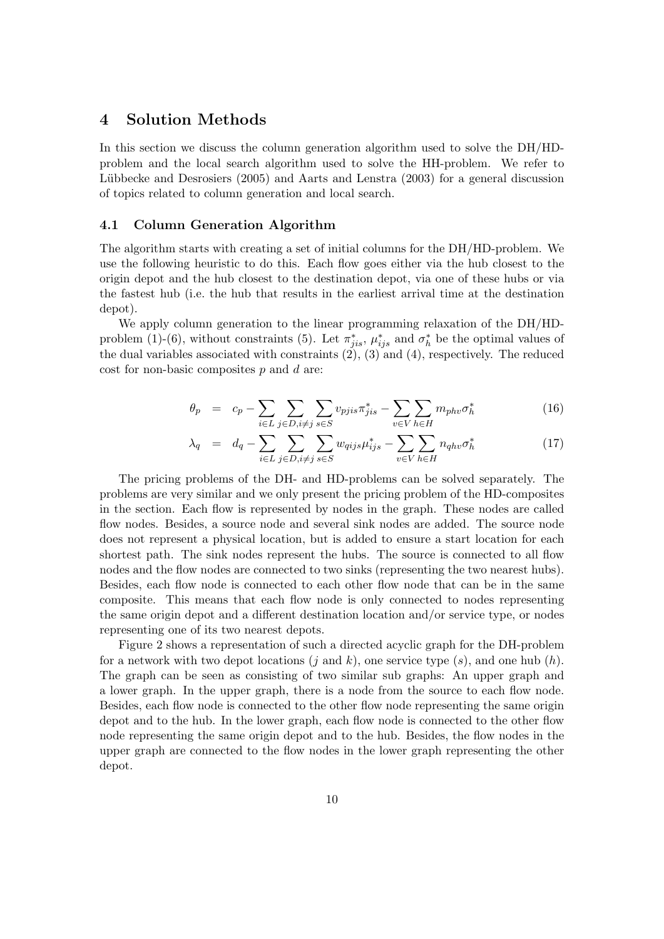### 4 Solution Methods

In this section we discuss the column generation algorithm used to solve the DH/HDproblem and the local search algorithm used to solve the HH-problem. We refer to Lübbecke and Desrosiers  $(2005)$  and Aarts and Lenstra  $(2003)$  for a general discussion of topics related to column generation and local search.

#### 4.1 Column Generation Algorithm

The algorithm starts with creating a set of initial columns for the DH/HD-problem. We use the following heuristic to do this. Each flow goes either via the hub closest to the origin depot and the hub closest to the destination depot, via one of these hubs or via the fastest hub (i.e. the hub that results in the earliest arrival time at the destination depot).

We apply column generation to the linear programming relaxation of the DH/HDproblem (1)-(6), without constraints (5). Let  $\pi_{jis}^*$ ,  $\mu_{ijs}^*$  and  $\sigma_h^*$  be the optimal values of the dual variables associated with constraints  $(2)$ ,  $(3)$  and  $(4)$ , respectively. The reduced cost for non-basic composites  $p$  and  $d$  are:

$$
\theta_p = c_p - \sum_{i \in L} \sum_{j \in D, i \neq j} \sum_{s \in S} v_{piis} \pi_{jis}^* - \sum_{v \in V} \sum_{h \in H} m_{phv} \sigma_h^* \tag{16}
$$

$$
\lambda_q = d_q - \sum_{i \in L} \sum_{j \in D, i \neq j} \sum_{s \in S} w_{q i j s} \mu_{i j s}^* - \sum_{v \in V} \sum_{h \in H} n_{q h v} \sigma_h^* \tag{17}
$$

The pricing problems of the DH- and HD-problems can be solved separately. The problems are very similar and we only present the pricing problem of the HD-composites in the section. Each flow is represented by nodes in the graph. These nodes are called flow nodes. Besides, a source node and several sink nodes are added. The source node does not represent a physical location, but is added to ensure a start location for each shortest path. The sink nodes represent the hubs. The source is connected to all flow nodes and the flow nodes are connected to two sinks (representing the two nearest hubs). Besides, each flow node is connected to each other flow node that can be in the same composite. This means that each flow node is only connected to nodes representing the same origin depot and a different destination location and/or service type, or nodes representing one of its two nearest depots.

Figure 2 shows a representation of such a directed acyclic graph for the DH-problem for a network with two depot locations (*j* and *k*), one service type  $(s)$ , and one hub  $(h)$ . The graph can be seen as consisting of two similar sub graphs: An upper graph and a lower graph. In the upper graph, there is a node from the source to each flow node. Besides, each flow node is connected to the other flow node representing the same origin depot and to the hub. In the lower graph, each flow node is connected to the other flow node representing the same origin depot and to the hub. Besides, the flow nodes in the upper graph are connected to the flow nodes in the lower graph representing the other depot.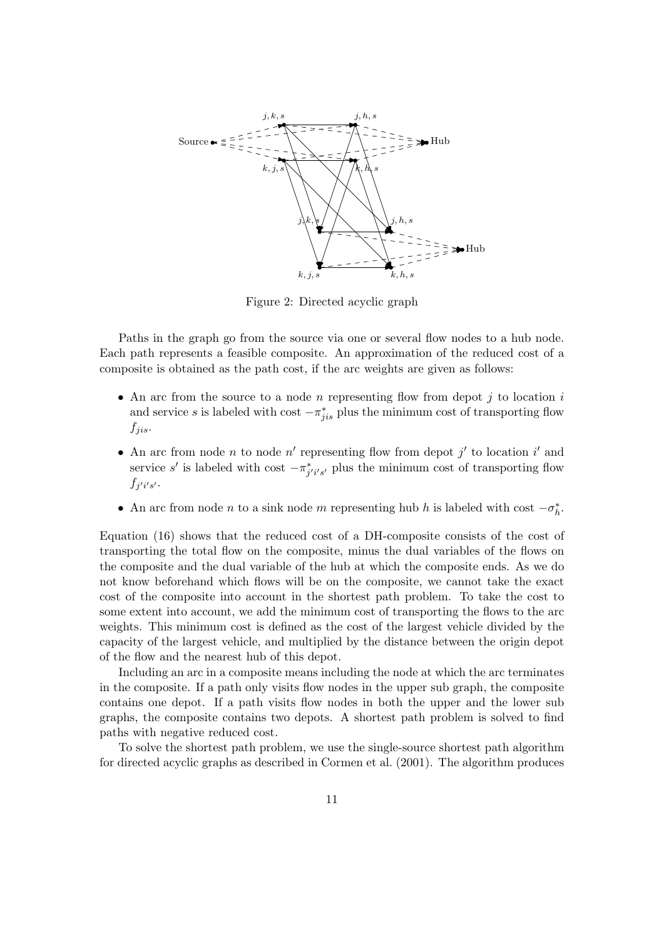

Figure 2: Directed acyclic graph

Paths in the graph go from the source via one or several flow nodes to a hub node. Each path represents a feasible composite. An approximation of the reduced cost of a composite is obtained as the path cost, if the arc weights are given as follows:

- An arc from the source to a node n representing flow from depot  $j$  to location  $i$ and service s is labeled with cost  $-\pi_{jis}^*$  plus the minimum cost of transporting flow  $f_{jis}$ .
- An arc from node *n* to node  $n'$  representing flow from depot  $j'$  to location  $i'$  and service s' is labeled with cost  $-\pi_{j' i' s'}^*$  plus the minimum cost of transporting flow  $f_{j'i's'}$ .
- An arc from node *n* to a sink node *m* representing hub *h* is labeled with cost  $-\sigma_h^*$ .

Equation (16) shows that the reduced cost of a DH-composite consists of the cost of transporting the total flow on the composite, minus the dual variables of the flows on the composite and the dual variable of the hub at which the composite ends. As we do not know beforehand which flows will be on the composite, we cannot take the exact cost of the composite into account in the shortest path problem. To take the cost to some extent into account, we add the minimum cost of transporting the flows to the arc weights. This minimum cost is defined as the cost of the largest vehicle divided by the capacity of the largest vehicle, and multiplied by the distance between the origin depot of the flow and the nearest hub of this depot.

Including an arc in a composite means including the node at which the arc terminates in the composite. If a path only visits flow nodes in the upper sub graph, the composite contains one depot. If a path visits flow nodes in both the upper and the lower sub graphs, the composite contains two depots. A shortest path problem is solved to find paths with negative reduced cost.

To solve the shortest path problem, we use the single-source shortest path algorithm for directed acyclic graphs as described in Cormen et al. (2001). The algorithm produces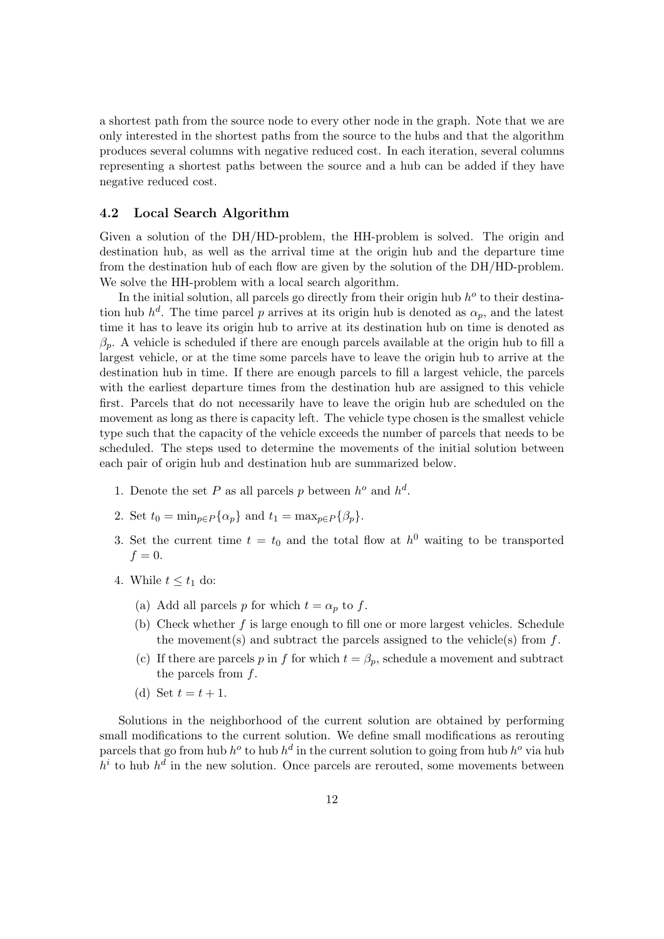a shortest path from the source node to every other node in the graph. Note that we are only interested in the shortest paths from the source to the hubs and that the algorithm produces several columns with negative reduced cost. In each iteration, several columns representing a shortest paths between the source and a hub can be added if they have negative reduced cost.

### 4.2 Local Search Algorithm

Given a solution of the DH/HD-problem, the HH-problem is solved. The origin and destination hub, as well as the arrival time at the origin hub and the departure time from the destination hub of each flow are given by the solution of the DH/HD-problem. We solve the HH-problem with a local search algorithm.

In the initial solution, all parcels go directly from their origin hub  $h^o$  to their destination hub  $h^d$ . The time parcel p arrives at its origin hub is denoted as  $\alpha_p$ , and the latest time it has to leave its origin hub to arrive at its destination hub on time is denoted as  $\beta_p$ . A vehicle is scheduled if there are enough parcels available at the origin hub to fill a largest vehicle, or at the time some parcels have to leave the origin hub to arrive at the destination hub in time. If there are enough parcels to fill a largest vehicle, the parcels with the earliest departure times from the destination hub are assigned to this vehicle first. Parcels that do not necessarily have to leave the origin hub are scheduled on the movement as long as there is capacity left. The vehicle type chosen is the smallest vehicle type such that the capacity of the vehicle exceeds the number of parcels that needs to be scheduled. The steps used to determine the movements of the initial solution between each pair of origin hub and destination hub are summarized below.

- 1. Denote the set P as all parcels p between  $h^o$  and  $h^d$ .
- 2. Set  $t_0 = \min_{p \in P} {\alpha_p}$  and  $t_1 = \max_{p \in P} {\beta_p}.$
- 3. Set the current time  $t = t_0$  and the total flow at  $h^0$  waiting to be transported  $f=0.$
- 4. While  $t \leq t_1$  do:
	- (a) Add all parcels p for which  $t = \alpha_p$  to f.
	- (b) Check whether  $f$  is large enough to fill one or more largest vehicles. Schedule the movement(s) and subtract the parcels assigned to the vehicle(s) from  $f$ .
	- (c) If there are parcels p in f for which  $t = \beta_p$ , schedule a movement and subtract the parcels from  $f$ .
	- (d) Set  $t = t + 1$ .

Solutions in the neighborhood of the current solution are obtained by performing small modifications to the current solution. We define small modifications as rerouting parcels that go from hub  $h^o$  to hub  $h^d$  in the current solution to going from hub  $h^o$  via hub  $h^i$  to hub  $h^d$  in the new solution. Once parcels are rerouted, some movements between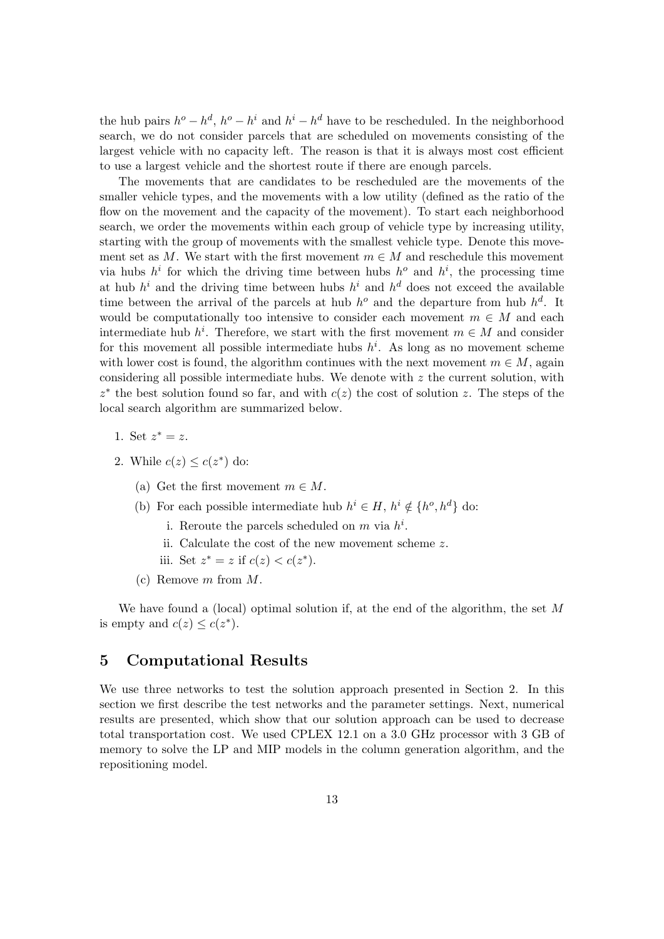the hub pairs  $h^o - h^d$ ,  $h^o - h^i$  and  $h^i - h^d$  have to be rescheduled. In the neighborhood search, we do not consider parcels that are scheduled on movements consisting of the largest vehicle with no capacity left. The reason is that it is always most cost efficient to use a largest vehicle and the shortest route if there are enough parcels.

The movements that are candidates to be rescheduled are the movements of the smaller vehicle types, and the movements with a low utility (defined as the ratio of the flow on the movement and the capacity of the movement). To start each neighborhood search, we order the movements within each group of vehicle type by increasing utility, starting with the group of movements with the smallest vehicle type. Denote this movement set as M. We start with the first movement  $m \in M$  and reschedule this movement via hubs  $h^i$  for which the driving time between hubs  $h^o$  and  $h^i$ , the processing time at hub  $h^i$  and the driving time between hubs  $h^i$  and  $h^d$  does not exceed the available time between the arrival of the parcels at hub  $h^o$  and the departure from hub  $h^d$ . It would be computationally too intensive to consider each movement  $m \in M$  and each intermediate hub  $h^i$ . Therefore, we start with the first movement  $m \in M$  and consider for this movement all possible intermediate hubs  $h^{i}$ . As long as no movement scheme with lower cost is found, the algorithm continues with the next movement  $m \in M$ , again considering all possible intermediate hubs. We denote with  $z$  the current solution, with  $z^*$  the best solution found so far, and with  $c(z)$  the cost of solution z. The steps of the local search algorithm are summarized below.

- 1. Set  $z^* = z$ .
- 2. While  $c(z) \leq c(z^*)$  do:
	- (a) Get the first movement  $m \in M$ .
	- (b) For each possible intermediate hub  $h^i \in H$ ,  $h^i \notin \{h^o, h^d\}$  do:
		- i. Reroute the parcels scheduled on  $m$  via  $h^i$ .
		- ii. Calculate the cost of the new movement scheme z.
		- iii. Set  $z^* = z$  if  $c(z) < c(z^*)$ .
	- (c) Remove  $m$  from  $M$ .

We have found a (local) optimal solution if, at the end of the algorithm, the set M is empty and  $c(z) \leq c(z^*)$ .

# 5 Computational Results

We use three networks to test the solution approach presented in Section 2. In this section we first describe the test networks and the parameter settings. Next, numerical results are presented, which show that our solution approach can be used to decrease total transportation cost. We used CPLEX 12.1 on a 3.0 GHz processor with 3 GB of memory to solve the LP and MIP models in the column generation algorithm, and the repositioning model.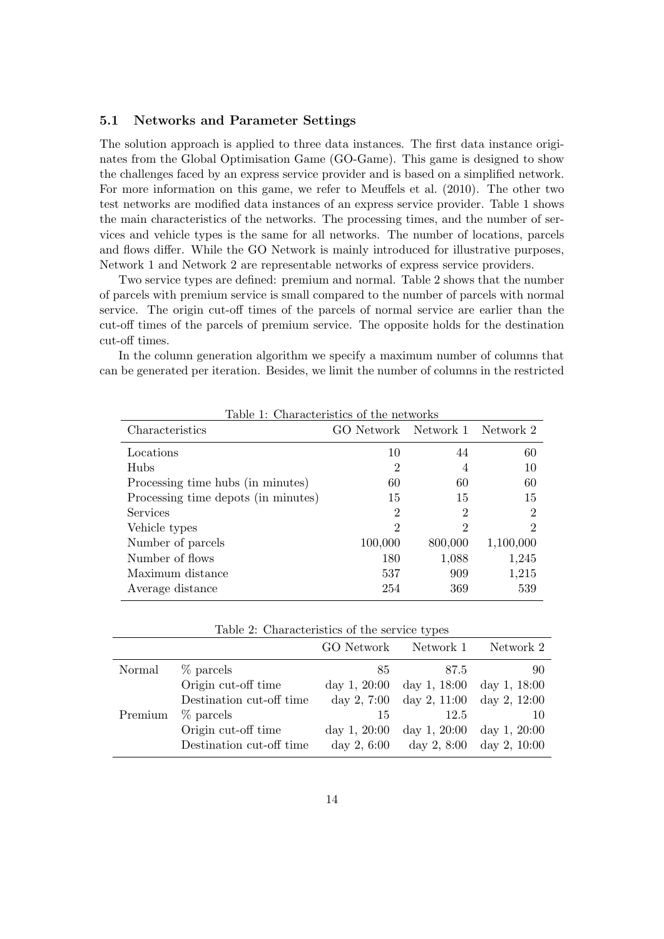#### 5.1 Networks and Parameter Settings

The solution approach is applied to three data instances. The first data instance originates from the Global Optimisation Game (GO-Game). This game is designed to show the challenges faced by an express service provider and is based on a simplified network. For more information on this game, we refer to Meuffels et al. (2010). The other two test networks are modified data instances of an express service provider. Table 1 shows the main characteristics of the networks. The processing times, and the number of services and vehicle types is the same for all networks. The number of locations, parcels and flows differ. While the GO Network is mainly introduced for illustrative purposes, Network 1 and Network 2 are representable networks of express service providers.

Two service types are defined: premium and normal. Table 2 shows that the number of parcels with premium service is small compared to the number of parcels with normal service. The origin cut-off times of the parcels of normal service are earlier than the cut-off times of the parcels of premium service. The opposite holds for the destination cut-off times.

In the column generation algorithm we specify a maximum number of columns that can be generated per iteration. Besides, we limit the number of columns in the restricted

| Table 1: Characteristics of the networks |                                |                |                             |  |  |  |  |
|------------------------------------------|--------------------------------|----------------|-----------------------------|--|--|--|--|
| Characteristics                          | GO Network Network 1 Network 2 |                |                             |  |  |  |  |
| Locations                                | 10                             | 44             | 60                          |  |  |  |  |
| Hubs                                     | $\overline{2}$                 | 4              | 10                          |  |  |  |  |
| Processing time hubs (in minutes)        | 60                             | 60             | 60                          |  |  |  |  |
| Processing time depots (in minutes)      | 15                             | 15             | 15                          |  |  |  |  |
| Services                                 | $\overline{2}$                 | $\overline{2}$ | $\overline{2}$              |  |  |  |  |
| Vehicle types                            | $\overline{2}$                 | 2              | $\mathcal{D}_{\mathcal{L}}$ |  |  |  |  |
| Number of parcels                        | 100,000                        | 800,000        | 1,100,000                   |  |  |  |  |
| Number of flows                          | 180                            | 1,088          | 1,245                       |  |  |  |  |
| Maximum distance                         | 537                            | 909            | 1,215                       |  |  |  |  |
| Average distance                         | 254                            | 369            | 539                         |  |  |  |  |

|  | Table 2: Characteristics of the service types |  |  |
|--|-----------------------------------------------|--|--|
|  |                                               |  |  |

|         |                          | GO Network       | Network 1                | Network 2      |
|---------|--------------------------|------------------|--------------------------|----------------|
| Normal  | % parcels                | 85               | 87.5                     | -90            |
|         | Origin cut-off time      | $day\,1,\,20:00$ | day 1, $18:00$           | day $1, 18:00$ |
|         | Destination cut-off time |                  | day 2, 7:00 day 2, 11:00 | day $2, 12:00$ |
| Premium | % parcels                | 15               | 12.5                     | 10             |
|         | Origin cut-off time      | day $1, 20:00$   | day $1, 20:00$           | day $1, 20:00$ |
|         | Destination cut-off time | day $2, 6:00$    | day $2, 8:00$            | day $2, 10:00$ |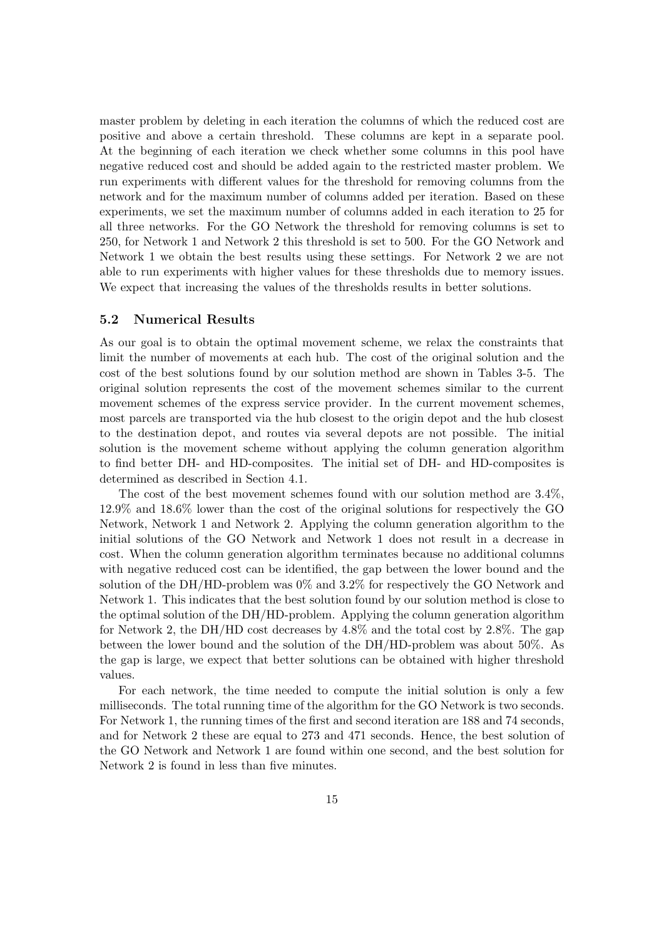master problem by deleting in each iteration the columns of which the reduced cost are positive and above a certain threshold. These columns are kept in a separate pool. At the beginning of each iteration we check whether some columns in this pool have negative reduced cost and should be added again to the restricted master problem. We run experiments with different values for the threshold for removing columns from the network and for the maximum number of columns added per iteration. Based on these experiments, we set the maximum number of columns added in each iteration to 25 for all three networks. For the GO Network the threshold for removing columns is set to 250, for Network 1 and Network 2 this threshold is set to 500. For the GO Network and Network 1 we obtain the best results using these settings. For Network 2 we are not able to run experiments with higher values for these thresholds due to memory issues. We expect that increasing the values of the thresholds results in better solutions.

#### 5.2 Numerical Results

As our goal is to obtain the optimal movement scheme, we relax the constraints that limit the number of movements at each hub. The cost of the original solution and the cost of the best solutions found by our solution method are shown in Tables 3-5. The original solution represents the cost of the movement schemes similar to the current movement schemes of the express service provider. In the current movement schemes, most parcels are transported via the hub closest to the origin depot and the hub closest to the destination depot, and routes via several depots are not possible. The initial solution is the movement scheme without applying the column generation algorithm to find better DH- and HD-composites. The initial set of DH- and HD-composites is determined as described in Section 4.1.

The cost of the best movement schemes found with our solution method are 3.4%, 12.9% and 18.6% lower than the cost of the original solutions for respectively the GO Network, Network 1 and Network 2. Applying the column generation algorithm to the initial solutions of the GO Network and Network 1 does not result in a decrease in cost. When the column generation algorithm terminates because no additional columns with negative reduced cost can be identified, the gap between the lower bound and the solution of the DH/HD-problem was 0% and 3.2% for respectively the GO Network and Network 1. This indicates that the best solution found by our solution method is close to the optimal solution of the DH/HD-problem. Applying the column generation algorithm for Network 2, the DH/HD cost decreases by 4.8% and the total cost by 2.8%. The gap between the lower bound and the solution of the DH/HD-problem was about 50%. As the gap is large, we expect that better solutions can be obtained with higher threshold values.

For each network, the time needed to compute the initial solution is only a few milliseconds. The total running time of the algorithm for the GO Network is two seconds. For Network 1, the running times of the first and second iteration are 188 and 74 seconds, and for Network 2 these are equal to 273 and 471 seconds. Hence, the best solution of the GO Network and Network 1 are found within one second, and the best solution for Network 2 is found in less than five minutes.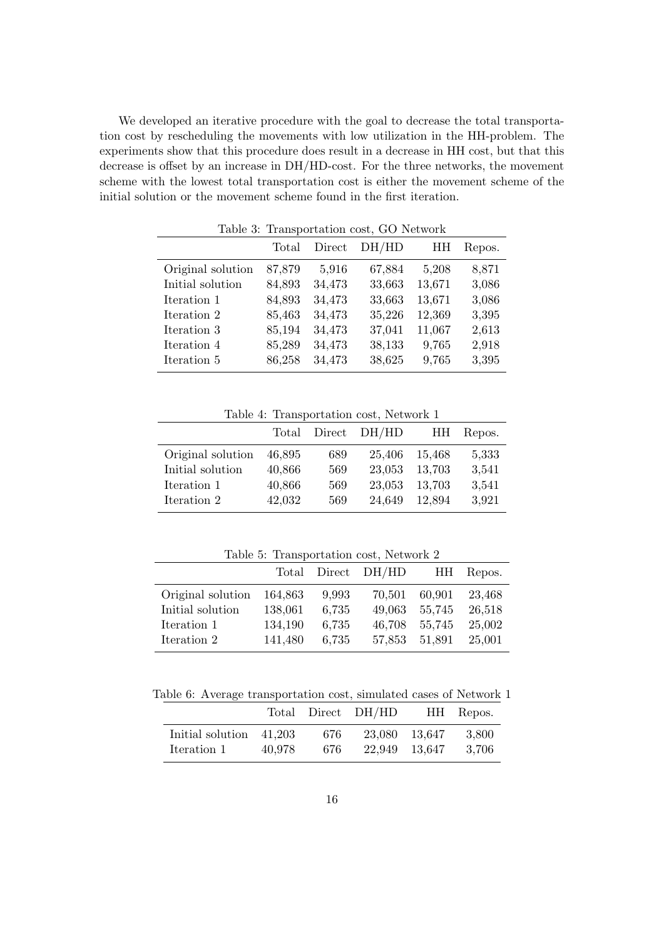We developed an iterative procedure with the goal to decrease the total transportation cost by rescheduling the movements with low utilization in the HH-problem. The experiments show that this procedure does result in a decrease in HH cost, but that this decrease is offset by an increase in DH/HD-cost. For the three networks, the movement scheme with the lowest total transportation cost is either the movement scheme of the initial solution or the movement scheme found in the first iteration.

| Table 5: Transportation cost, GO Network |        |        |        |        |        |  |
|------------------------------------------|--------|--------|--------|--------|--------|--|
|                                          | Total  | Direct | DH/HD  | HН     | Repos. |  |
| Original solution                        | 87,879 | 5,916  | 67,884 | 5,208  | 8,871  |  |
| Initial solution                         | 84,893 | 34,473 | 33,663 | 13,671 | 3,086  |  |
| Iteration 1                              | 84,893 | 34,473 | 33,663 | 13,671 | 3,086  |  |
| Iteration 2                              | 85,463 | 34,473 | 35,226 | 12,369 | 3,395  |  |
| Iteration 3                              | 85,194 | 34,473 | 37,041 | 11,067 | 2,613  |  |
| Iteration 4                              | 85,289 | 34,473 | 38,133 | 9,765  | 2,918  |  |
| Iteration 5                              | 86,258 | 34,473 | 38,625 | 9,765  | 3,395  |  |

Table 3: Transportation cost, GO Network

Table 4: Transportation cost, Network 1

|                   | Total  |     | Direct DH/HD | HH.    | Repos. |
|-------------------|--------|-----|--------------|--------|--------|
| Original solution | 46,895 | 689 | 25,406       | 15,468 | 5,333  |
| Initial solution  | 40,866 | 569 | 23,053       | 13,703 | 3,541  |
| Iteration 1       | 40,866 | 569 | 23,053       | 13,703 | 3,541  |
| Iteration 2       | 42,032 | 569 | 24,649       | 12,894 | 3,921  |

Table 5: Transportation cost, Network 2

|                   |         |       | Total Direct DH/HD |        | HH Repos. |
|-------------------|---------|-------|--------------------|--------|-----------|
| Original solution | 164,863 | 9,993 | 70,501             | 60,901 | 23,468    |
| Initial solution  | 138,061 | 6,735 | 49,063             | 55,745 | 26,518    |
| Iteration 1       | 134,190 | 6,735 | 46,708             | 55,745 | 25,002    |
| Iteration 2       | 141,480 | 6.735 | 57,853             | 51,891 | 25,001    |

Table 6: Average transportation cost, simulated cases of Network 1

|                                          |        |             | Total Direct DH/HD             | HH Repos.       |
|------------------------------------------|--------|-------------|--------------------------------|-----------------|
| Initial solution $41,203$<br>Iteration 1 | 40.978 | 676<br>676. | 23.080 13.647<br>22.949 13.647 | 3.800<br>-3.706 |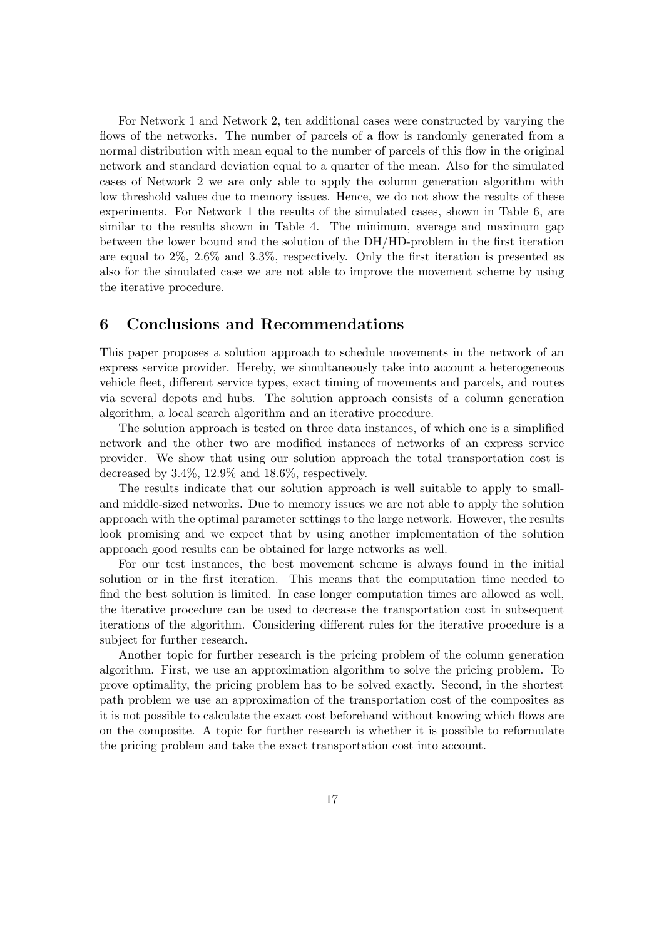For Network 1 and Network 2, ten additional cases were constructed by varying the flows of the networks. The number of parcels of a flow is randomly generated from a normal distribution with mean equal to the number of parcels of this flow in the original network and standard deviation equal to a quarter of the mean. Also for the simulated cases of Network 2 we are only able to apply the column generation algorithm with low threshold values due to memory issues. Hence, we do not show the results of these experiments. For Network 1 the results of the simulated cases, shown in Table 6, are similar to the results shown in Table 4. The minimum, average and maximum gap between the lower bound and the solution of the DH/HD-problem in the first iteration are equal to 2%, 2.6% and 3.3%, respectively. Only the first iteration is presented as also for the simulated case we are not able to improve the movement scheme by using the iterative procedure.

### 6 Conclusions and Recommendations

This paper proposes a solution approach to schedule movements in the network of an express service provider. Hereby, we simultaneously take into account a heterogeneous vehicle fleet, different service types, exact timing of movements and parcels, and routes via several depots and hubs. The solution approach consists of a column generation algorithm, a local search algorithm and an iterative procedure.

The solution approach is tested on three data instances, of which one is a simplified network and the other two are modified instances of networks of an express service provider. We show that using our solution approach the total transportation cost is decreased by  $3.4\%$ ,  $12.9\%$  and  $18.6\%$ , respectively.

The results indicate that our solution approach is well suitable to apply to smalland middle-sized networks. Due to memory issues we are not able to apply the solution approach with the optimal parameter settings to the large network. However, the results look promising and we expect that by using another implementation of the solution approach good results can be obtained for large networks as well.

For our test instances, the best movement scheme is always found in the initial solution or in the first iteration. This means that the computation time needed to find the best solution is limited. In case longer computation times are allowed as well, the iterative procedure can be used to decrease the transportation cost in subsequent iterations of the algorithm. Considering different rules for the iterative procedure is a subject for further research.

Another topic for further research is the pricing problem of the column generation algorithm. First, we use an approximation algorithm to solve the pricing problem. To prove optimality, the pricing problem has to be solved exactly. Second, in the shortest path problem we use an approximation of the transportation cost of the composites as it is not possible to calculate the exact cost beforehand without knowing which flows are on the composite. A topic for further research is whether it is possible to reformulate the pricing problem and take the exact transportation cost into account.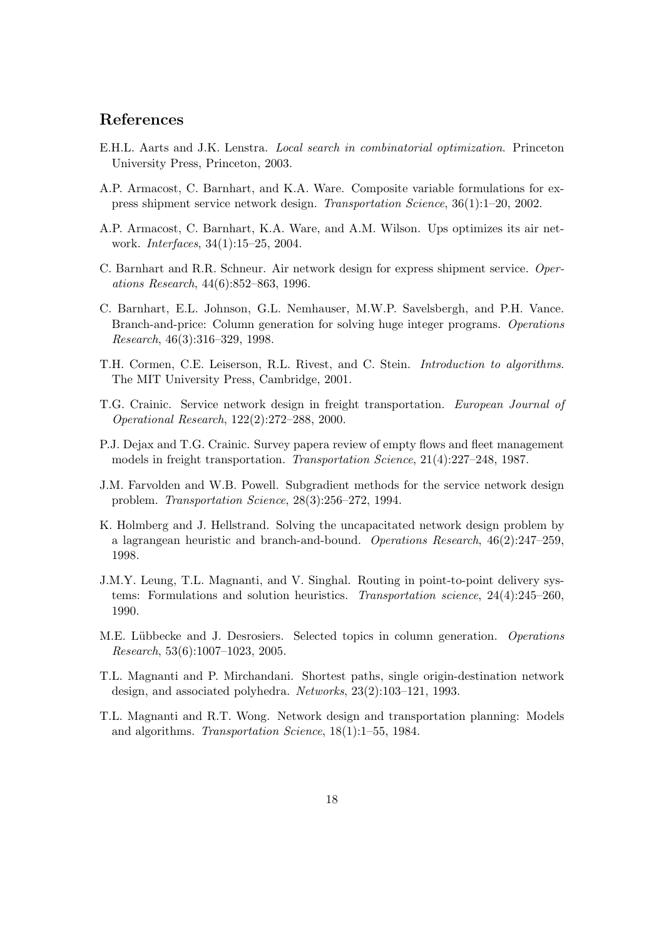### References

- E.H.L. Aarts and J.K. Lenstra. Local search in combinatorial optimization. Princeton University Press, Princeton, 2003.
- A.P. Armacost, C. Barnhart, and K.A. Ware. Composite variable formulations for express shipment service network design. Transportation Science, 36(1):1–20, 2002.
- A.P. Armacost, C. Barnhart, K.A. Ware, and A.M. Wilson. Ups optimizes its air network. Interfaces, 34(1):15–25, 2004.
- C. Barnhart and R.R. Schneur. Air network design for express shipment service. Operations Research, 44(6):852–863, 1996.
- C. Barnhart, E.L. Johnson, G.L. Nemhauser, M.W.P. Savelsbergh, and P.H. Vance. Branch-and-price: Column generation for solving huge integer programs. Operations Research, 46(3):316–329, 1998.
- T.H. Cormen, C.E. Leiserson, R.L. Rivest, and C. Stein. Introduction to algorithms. The MIT University Press, Cambridge, 2001.
- T.G. Crainic. Service network design in freight transportation. European Journal of Operational Research, 122(2):272–288, 2000.
- P.J. Dejax and T.G. Crainic. Survey papera review of empty flows and fleet management models in freight transportation. Transportation Science, 21(4):227–248, 1987.
- J.M. Farvolden and W.B. Powell. Subgradient methods for the service network design problem. Transportation Science, 28(3):256–272, 1994.
- K. Holmberg and J. Hellstrand. Solving the uncapacitated network design problem by a lagrangean heuristic and branch-and-bound. Operations Research, 46(2):247–259, 1998.
- J.M.Y. Leung, T.L. Magnanti, and V. Singhal. Routing in point-to-point delivery systems: Formulations and solution heuristics. Transportation science, 24(4):245–260, 1990.
- M.E. Lübbecke and J. Desrosiers. Selected topics in column generation. Operations Research, 53(6):1007–1023, 2005.
- T.L. Magnanti and P. Mirchandani. Shortest paths, single origin-destination network design, and associated polyhedra. Networks, 23(2):103–121, 1993.
- T.L. Magnanti and R.T. Wong. Network design and transportation planning: Models and algorithms. Transportation Science, 18(1):1–55, 1984.